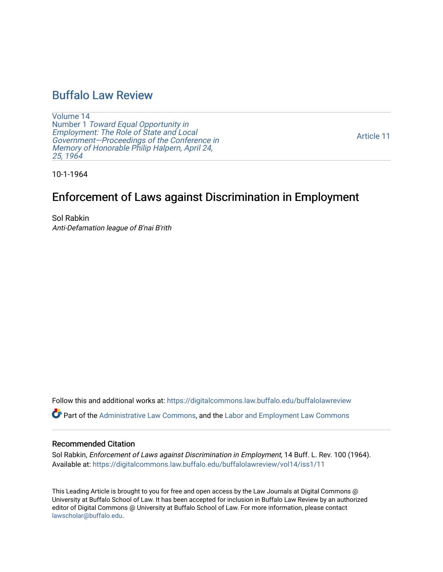## [Buffalo Law Review](https://digitalcommons.law.buffalo.edu/buffalolawreview)

[Volume 14](https://digitalcommons.law.buffalo.edu/buffalolawreview/vol14) Number 1 [Toward Equal Opportunity in](https://digitalcommons.law.buffalo.edu/buffalolawreview/vol14/iss1)  [Employment: The Role of State and Local](https://digitalcommons.law.buffalo.edu/buffalolawreview/vol14/iss1)  [Government—Proceedings of the Conference in](https://digitalcommons.law.buffalo.edu/buffalolawreview/vol14/iss1)  [Memory of Honorable Philip Halpern, April 24,](https://digitalcommons.law.buffalo.edu/buffalolawreview/vol14/iss1)  [25, 1964](https://digitalcommons.law.buffalo.edu/buffalolawreview/vol14/iss1) 

[Article 11](https://digitalcommons.law.buffalo.edu/buffalolawreview/vol14/iss1/11) 

10-1-1964

# Enforcement of Laws against Discrimination in Employment

Sol Rabkin Anti-Defamation league of B'nai B'rith

Follow this and additional works at: [https://digitalcommons.law.buffalo.edu/buffalolawreview](https://digitalcommons.law.buffalo.edu/buffalolawreview?utm_source=digitalcommons.law.buffalo.edu%2Fbuffalolawreview%2Fvol14%2Fiss1%2F11&utm_medium=PDF&utm_campaign=PDFCoverPages) 

Part of the [Administrative Law Commons,](http://network.bepress.com/hgg/discipline/579?utm_source=digitalcommons.law.buffalo.edu%2Fbuffalolawreview%2Fvol14%2Fiss1%2F11&utm_medium=PDF&utm_campaign=PDFCoverPages) and the [Labor and Employment Law Commons](http://network.bepress.com/hgg/discipline/909?utm_source=digitalcommons.law.buffalo.edu%2Fbuffalolawreview%2Fvol14%2Fiss1%2F11&utm_medium=PDF&utm_campaign=PDFCoverPages) 

### Recommended Citation

Sol Rabkin, Enforcement of Laws against Discrimination in Employment, 14 Buff. L. Rev. 100 (1964). Available at: [https://digitalcommons.law.buffalo.edu/buffalolawreview/vol14/iss1/11](https://digitalcommons.law.buffalo.edu/buffalolawreview/vol14/iss1/11?utm_source=digitalcommons.law.buffalo.edu%2Fbuffalolawreview%2Fvol14%2Fiss1%2F11&utm_medium=PDF&utm_campaign=PDFCoverPages)

This Leading Article is brought to you for free and open access by the Law Journals at Digital Commons @ University at Buffalo School of Law. It has been accepted for inclusion in Buffalo Law Review by an authorized editor of Digital Commons @ University at Buffalo School of Law. For more information, please contact [lawscholar@buffalo.edu](mailto:lawscholar@buffalo.edu).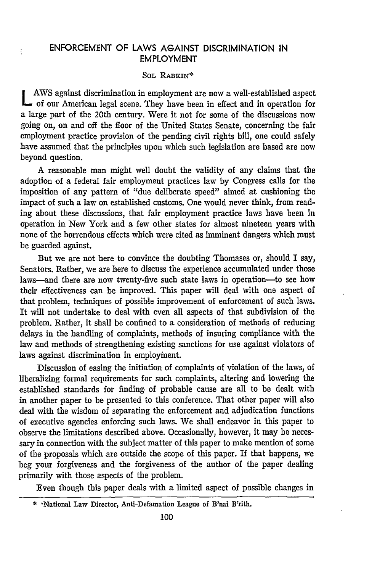## **ENFORCEMENT** OF LAWS **AGAINST DISCRIMINATION IN** EMPLOYMENT

 $\frac{1}{2}$ 

#### SOL RABKIN\*

AWS against discrimination in employment are now a well-established aspect of our American legal scene. They have been in effect and in operation for a large part of the 20th century. Were it not for some of the discussions now going on, on and off the floor of the United States Senate, concerning the fair employment practice provision of the pending civil rights bill, one could safely have assumed that the principles upon which such legislation are based are now beyond question.

A reasonable man might well doubt the validity of any claims that the adoption of a federal fair employment practices law by Congress calls for the imposition of any pattern of "due deliberate speed" aimed at cushioning the impact of such a law on established customs. One would never think, from reading about these discussions, that fair employment practice laws have been in operation in New York and a few other states for almost nineteen years with none of the horrendous effects which were cited as imminent dangers which must be guarded against.

But we are not here to convince the doubting Thomases or, should I say, Senators. Rather, we are here to discuss the experience accumulated under those laws-and there are now twenty-five such state laws in operation-to see how their effectiveness can be improved. This paper will deal with one aspect of that problem, techniques of possible improvement of enforcement of such laws. It will not undertake to deal with even all aspects of that subdivision of the problem. Rather, it shall be confined to a consideration of methods of reducing delays in the handling of complaints, methods of insuring compliance with the law and methods of strengthening existing sanctions for use against violators of laws against discrimination in employment.

Discussion of easing the initiation of complaints of violation of the laws, of liberalizing formal requirements for such complaints, altering and lowering the established standards for finding- of probable cause are all to be dealt with in another paper to be presented to this conference. That other paper will also deal with the wisdom of separating the enforcement and adjudication functions of executive agencies enforcing such laws. We shall endeavor in this paper to observe the limitations described above. Occasionally, however, it may be necessary in connection with the subject matter of this paper to make mention of some of the proposals which are outside the scope of this paper. If that happens, we beg your forgiveness and the forgiveness of the author of the paper dealing primarily with those aspects of the problem.

Even though this paper deals with a limited aspect of possible changes in

<sup>\* \*</sup>National Law Director, Anti-Defamation League of B'nai B'rith.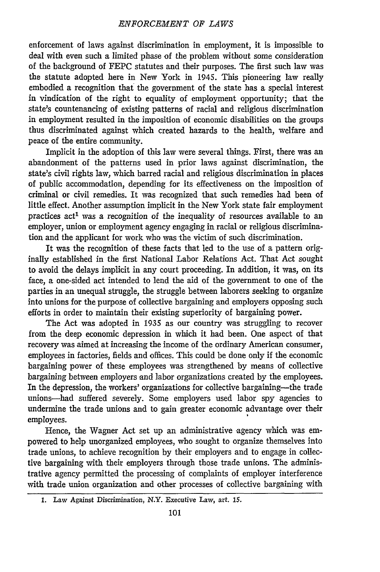enforcement of laws against discrimination in employment, it is impossible to deal with even such a limited phase of the problem without some consideration of the background of FEPC statutes and their purposes. The first such law was the statute adopted here in New York in 1945. This pioneering law really embodied a recognition that the government of the state has a special interest in vindication of the right to equality of employment opportunity; that the state's countenancing of existing patterns of racial and religious discrimination in employment resulted in the imposition of economic disabilities on the groups thus discriminated against which created hazards to the health, welfare and peace of the entire community.

Implicit in the adoption of this law were several things. First, there was an abandonment of the patterns used in prior laws against discrimination, the state's civil rights law, which barred racial and religious discrimination in places of public accommodation, depending for its effectiveness on the imposition of criminal or civil remedies. It was recognized that such remedies had been of little effect. Another assumption implicit in the New York state fair employment practices act' was a recognition of the inequality of resources available to an employer, union or employment agency engaging in racial or religious discrimination and the applicant for work who was the victim of such discrimination.

It was the recognition of these facts that led to the use of a pattern originally established in the first National Labor Relations Act. That Act sought to avoid the delays implicit in any court proceeding. In addition, it was, on its face, a one-sided act intended to lend the aid of the government to one of the parties in an unequal struggle, the struggle between laborers seeking to organize into unions for the purpose of collective bargaining and employers opposing such efforts in order to maintain their existing superiority of bargaining power.

The Act was adopted in 1935 as our country was struggling to recover from the deep economic depression in which it had been. One aspect of that recovery was aimed at increasing the income of the ordinary American consumer, employees in factories, fields and offices. This could be done only if the economic bargaining power of these employees was strengthened by means of collective bargaining between employers and labor organizations created by the employees. In the depression, the workers' organizations for collective bargaining-the trade unions-had suffered severely. Some employers used labor spy agencies to undermine the trade unions and to gain greater economic advantage over their employees.

Hence, the Wagner Act set up an administrative agency which was empowered to help unorganized employees, who sought to organize themselves into trade unions, to achieve recognition by their employers and to engage in collective bargaining with their employers through those trade unions. The administrative agency permitted the processing of complaints of employer interference with trade union organization and other processes of collective bargaining with

**<sup>1.</sup>** *Law* Against Discrimination, **N.Y.** Executive Law, art. 15.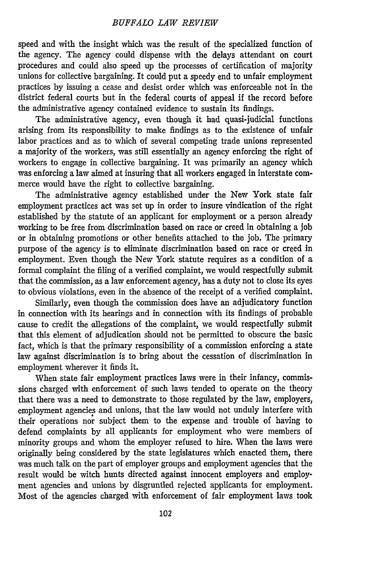speed and with the insight which was the result of the specialized function of the agency. The agency could dispense with the delays attendant on court procedures and could also speed up the processes of certification of majority unions for collective bargaining. It could put a speedy end to unfair employment practices by issuing a cease and desist order which was enforceable not in the district federal courts but in the federal courts of appeal if the record before the administrative agency contained evidence to sustain its findings.

The administrative agency, even though it had quasi-judicial functions arising from its responsibility to make findings as to the existence of unfair labor practices and as to which of several competing trade unions represented a majority of the workers, was still essentially an agency enforcing the right of workers to engage in collective bargaining. It was primarily an agency which was enforcing a law aimed at insuring that all workers engaged in interstate commerce would have the right to collective bargaining.

The administrative agency established under the New York state fair employment practices act was set up in order to insure vindication of the right established by the statute of an applicant for employment or a person already working to be free from discrimination based on race or creed in obtaining a job or in obtaining promotions or other benefits attached to the job. The primary purpose of the agency is to eliminate discrimination based on race or creed in employment. Even though the New York statute requires as a condition of a formal complaint the filing of a verified complaint, we would respectfully submit that the commission, as a law enforcement agency, has a duty not to close its eyes to obvious violations, even in the absence of the receipt of a verified complaint.

Similarly, even though the commission does have an adjudicatory function in connection with its hearings and in connection with its findings of probable cause to credit the allegations of the complaint, we would respectfully submit that this element of adjudication should not be permitted to obscure the basic fact, which is that the primary responsibility of a commission enforcing a state law against discrimination is to bring about the cessation of discrimination in employment wherever it finds it.

When state fair employment practices laws were in their infancy, commissions charged with enforcement of such laws tended to operate on the theory that there was a need to demonstrate to those regulated by the law, employers, employment agencies and unions, that the law would not unduly interfere with their operations nor subject them to the expense and trouble of having to defend complaints by all applicants for employment who were members of minority groups and whom the employer refused to hire. When the laws were originally being considered by the state legislatures which enacted them, there was much talk on the part of employer groups and employment agencies that the result would be witch hunts directed against innocent employers and employment agencies and unions by disgruntled rejected applicants for employment. Most of the agencies charged with enforcement of fair employment laws took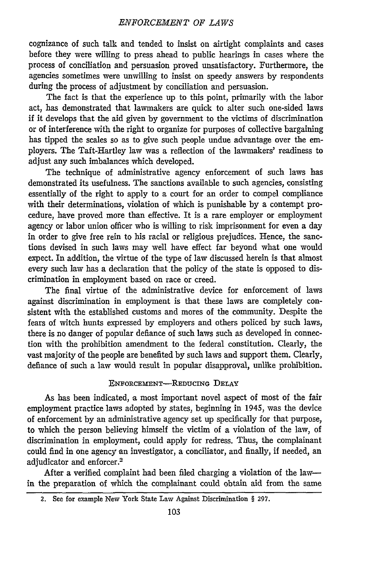cognizance of such talk and tended to insist on airtight complaints and cases before they were willing to press ahead to public hearings in cases where the process of conciliation and persuasion proved unsatisfactory. Furthermore, the agencies sometimes were unwilling to insist on speedy answers by respondents during the process of adjustment by conciliation and persuasion.

The fact is that the experience up to this point, primarily with the labor act, has demonstrated that lawmakers are quick to alter such one-sided laws if it develops that the aid given by government to the victims of discrimination or of interference with the right to organize for purposes of collective bargaining has tipped the scales so as to give such people undue advantage over the employers. The Taft-Hartley law was a reflection of the lawmakers' readiness to adjust any such imbalances which developed.

The technique of administrative agency enforcement of such laws has demonstrated its usefulness. The sanctions available to such agencies, consisting essentially of the right to apply to a court for an order to compel compliance with their determinations, violation of which is punishable by a contempt procedure, have proved more than effective. It is a rare employer or employment agency or labor union officer who is willing to risk imprisonment for even a day in order to give free rein to his racial or religious prejudices. Hence, the sanctions devised in such laws may well have effect far beyond what one would expect. In addition, the virtue of the type of law discussed herein is that almost every such law has a declaration that the policy of the state is opposed to discrimination in employment based on race or creed.

The final virtue of the administrative device for enforcement of laws against discrimination in employment is that these laws are completely consistent with the established customs and mores of the community. Despite the fears of witch hunts expressed by employers and others policed by such laws, there is no danger of popular defiance of such laws such as developed in connection with the prohibition amendment to the federal constitution. Clearly, the vast majority of the people are benefited by such laws and support them. Clearly, defiance of such a law would result in popular disapproval, unlike prohibition.

#### ENFORCEMENT-REDUCING DELAY

As has been indicated, a most important novel aspect of most of the fair employment practice laws adopted by states, beginning in 1945, was the device of enforcement by an administrative agency set up specifically for that purpose, to which the person believing himself the victim of a violation of the law, of discrimination in employment, could apply for redress. Thus, the complainant could find in one agency an investigator, a conciliator, and finally, if needed, an adjudicator and enforcer.2

After a verified complaint had been filed charging a violation of the lawin the preparation of which the complainant could obtain aid from the same

2. See **for** example New York State Law Against Discrimination **§ 297.**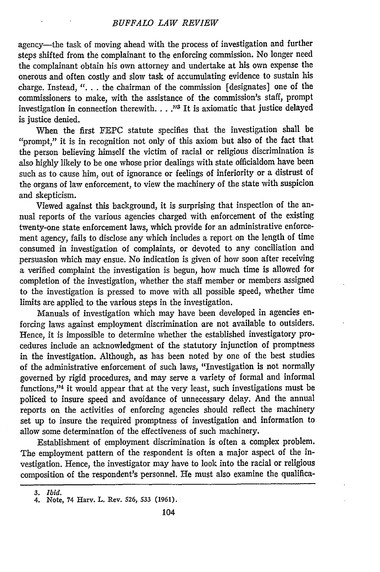agency-the task of moving ahead with the process of investigation and further steps shifted from the complainant to the enforcing commission. No longer need the complainant obtain his own attorney and undertake at his own expense the onerous and often costly and slow task of accumulating evidence to sustain his charge. Instead, "... the chairman of the commission [designates] one of the commissioners to make, with the assistance of the commission's staff, prompt investigation in connection therewith. . . . "<sup>3</sup> It is axiomatic that justice delayed is justice denied.

When the first FEPC statute specifies that the investigation shall be "prompt," it is in recognition not only of this axiom but also of the fact that the person believing himself the victim of racial or religious discrimination is also highly likely to he one whose prior dealings with state officialdom have been such as to cause him, out of ignorance or feelings of inferiority or a distrust of the organs of law enforcement, to view the machinery of the state with suspicion and skepticism.

Viewed against this background, it is surprising that inspection of the annual reports of the various agencies charged with enforcement of the existing twenty-one state enforcement laws, which provide for an administrative enforcement agency, fails to disclose any which includes a report on the length of time consumed in investigation of complaints, or devoted to any conciliation and persuasion which may ensue. No indication is given of how soon after receiving a verified complaint the investigation is begun, how much time is allowed for completion of the investigation, whether the staff member or members assigned to the investigation is pressed to move with all possible speed, whether time limits are applied to the various steps in the investigation.

Manuals of investigation which may have been developed in agencies enforcing laws against employment discrimination are not available to outsiders. Hence, it is impossible to determine whether the established investigatory procedures include an acknowledgment of the statutory injunction of promptness in the investigation. Although, as has been noted by one of the best studies of the administrative enforcement of such laws, "Investigation is not normally governed by rigid procedures, and may serve a variety of formal and informal functions," $4$  it would appear that at the very least, such investigations must be policed to insure speed and avoidance of unnecessary delay. And the annual reports on the activities of enforcing agencies should reflect the machinery set up to insure the required promptness of investigation and information to allow some determination of the effectiveness of such machinery.

Establishment of employment discrimination is often a complex problem. The employment pattern of the respondent is often a major aspect of the investigation. Hence, the investigator may have to look into the racial or religious composition of the respondent's personnel. He must also examine the qualifica-

*<sup>3.</sup> Ibid.* 4. Note, 74 Harv. L. Rev. **526, 533 (1961).**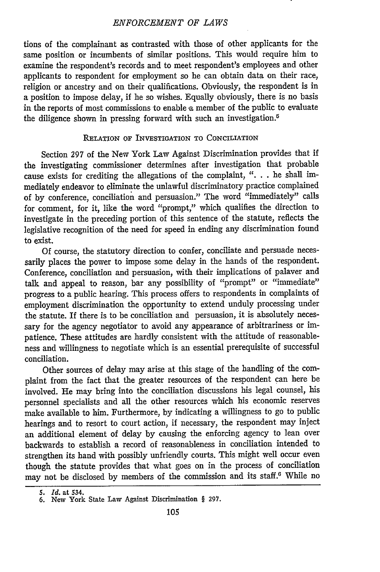#### *ENFORCEMENT OF LAWS*

tions of the complainant as contrasted with those of other applicants for the same position or incumbents of similar positions. This would require him to examine the respondent's records and to meet respondent's employees and other applicants to respondent for employment so he can obtain data on their race, religion or ancestry and on their qualifications. Obviously, the respondent is in a position to impose delay, if he so wishes. Equally obviously, there is no basis in the reports of most commissions to enable a member of the public to evaluate the diligence shown in pressing forward with such an investigation.<sup>5</sup>

#### RELATION OF INVESTIGATION TO CONCILIATION

Section 297 of the New York Law Against Discrimination provides that if the investigating commissioner determines after investigation that probable cause exists for crediting the allegations of the complaint, ". **.** . he shall immediately endeavor to eliminate the unlawful discriminatory practice complained of by conference, conciliation and persuasion." The word "immediately" calls for comment, for it, like the word "prompt," which qualifies the direction to investigate in the preceding portion of this sentence of the statute, reflects the legislative recognition of the need for speed in ending any discrimination found to exist.

Of course, the statutory direction to confer, conciliate and persuade necessarily places the power to impose some delay in the hands of the respondent. Conference, conciliation and persuasion, with their implications of palaver and talk and appeal to reason, bar any possibility of "prompt" or "immediate" progress to a public hearing. This process offers to respondents in complaints of employment discrimination the opportunity to extend unduly processing under the statute. If there is to be conciliation and persuasion, it is absolutely necessary for the agency negotiator to avoid any appearance of arbitrariness or impatience. These attitudes are hardly consistent with the attitude of reasonableness and willingness to negotiate which is an essential prerequisite of successful conciliation.

Other sources of delay may arise at this stage of the handling of the complaint from the fact that the greater resources of the respondent can here be involved. He may bring into the conciliation discussions his legal counsel, his personnel specialists and all the other resources which his economic reserves make available to him. Furthermore, by indicating a willingness to go to public hearings and to resort to court action, if necessary, the respondent may inject an additional element of delay by causing the enforcing agency to lean over backwards to establish a record of reasonableness in conciliation intended to strengthen its hand with possibly unfriendly courts. This might well occur even though the statute provides that what goes on in the process of conciliation may not be disclosed by members of the commission and its staff. 6 While no

*<sup>5.</sup> Id.* at 534. **6.** New York State Law Against Discrimination § **297.**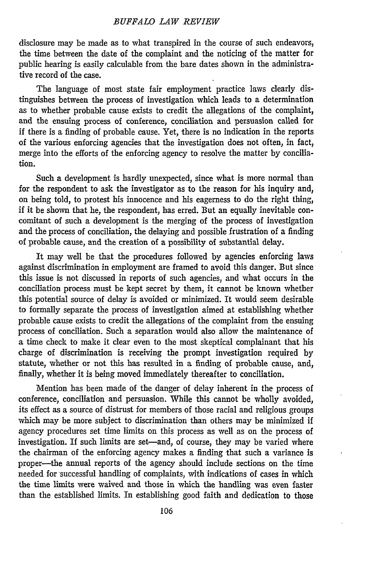disclosure may be made as to what transpired in the course of such endeavors, the time between the date of the complaint and the noticing of the matter for public hearing is easily calculable from the bare dates shown in the administrative record of the case.

The language of most state fair employment practice laws clearly distinguishes between the process of investigation which leads to a determination as to whether probable cause exists to credit the allegations of the complaint, and the ensuing process of conference, conciliation and persuasion called for if there is a finding of probable cause. Yet, there is no indication in the reports of the various enforcing agencies that the investigation does not often, in fact, merge into the efforts of the enforcing agency to resolve the matter by conciliation.

Such a development is hardly unexpected, since what is more normal than for the respondent to ask the investigator as to the reason for his inquiry and, on being told, to protest his innocence and his eagerness to do the right thing, if it be shown that he, the respondent, has erred. But an equally inevitable concomitant of such a development is the merging of the process of investigation and the process of conciliation, the delaying and possible frustration of a finding of probable cause, and the creation of a possibility of substantial delay.

It may well be that the procedures followed by agencies enforcing laws against discrimination in employment are framed to avoid this danger. But since this issue is not discussed in reports of such agencies, and what occurs in the conciliation process must be kept secret by them, it cannot be known whether this potential source of delay is avoided or minimized. It would seem desirable to formally separate the process of investigation aimed at establishing whether probable cause exists to credit the allegations of the complaint from the ensuing process of conciliation. Such a separation would also allow the maintenance of a time check to make it clear even to the most skeptical complainant that his charge of discrimination is receiving the prompt investigation required by statute, whether or not this has resulted in a finding of probable cause, and, finally, whether it is being moved immediately thereafter to conciliation.

Mention has been made of the danger of delay inherent in the process of conference, conciliation and persuasion. While this cannot be wholly avoided, its effect as a source of distrust for members of those racial and religious groups which may be more subject to discrimination than others may be minimized if agency procedures set time limits on this process as well as on the process of investigation. If such limits are set-and, of course, they may be varied where the chairman of the enforcing agency makes a finding that such a variance is proper-the annual reports of the agency should include sections on the time needed for successful handling of complaints, with indications of cases in which the time limits were waived and those in which the handling was even faster than the established limits. In establishing good faith and dedication to those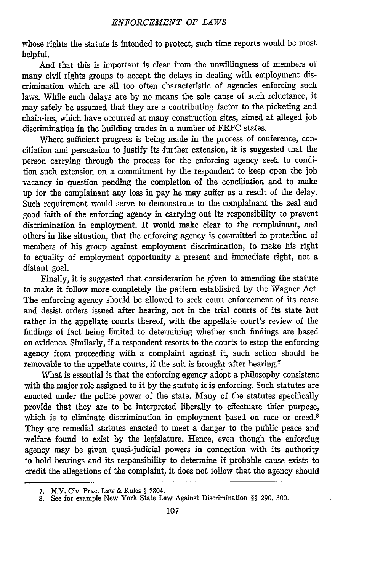whose rights the statute is intended to protect, such time reports would be most helpful.

And that this is important is clear from the unwillingness of members of many civil rights groups to accept the delays in dealing with employment discrimination which are all too often characteristic of agencies enforcing such laws. While such delays are by no means the sole cause of such reluctance, it may safely be assumed that they are a contributing factor to the picketing and chain-ins, which have occurred at many construction sites, aimed at alleged job discrimination in the building trades in a number of FEPC states.

Where sufficient progress is being made in the process of conference, conciliation and persuasion to justify its further extension, it is suggested that the person carrying through the process for the enforcing agency seek to condition such extension on a commitment by the respondent to keep open the job vacancy in question pending the completion of the conciliation and to make up for the complainant any loss in pay he may suffer as a result of the delay. Such requirement would serve to demonstrate to the complainant the zeal and good faith of the enforcing agency in carrying out its responsibility to prevent discrimination in employment. It would make clear to the complainant, and others in like situation, that the enforcing agency is committed to protection of members of his group against employment discrimination, to make his right to equality of employment opportunity a present and immediate right, not a distant goal.

Finally, it is suggested that consideration be given to amending the statute to make it follow more completely the pattern established by the Wagner Act. The enforcing agency should be allowed to seek court enforcement of its cease and desist orders issued after hearing, not in the trial courts of its state but rather in the appellate courts thereof, with the appellate court's review of the findings of fact being limited to determining whether such findings are based on evidence. Similarly, if a respondent resorts to the courts to estop the enforcing agency from proceeding with a complaint against it, such action should be removable to the appellate courts, if the suit is brought after hearing.<sup>7</sup>

What is essential is that the enforcing agency adopt a philosophy consistent with the major role assigned to it by the statute it is enforcing. Such statutes are enacted under the police power of the state. Many of the statutes specifically provide that they are to be interpreted liberally to effectuate thier purpose, which is to eliminate discrimination in employment based on race or creed.<sup>8</sup> They are remedial statutes enacted to meet a danger to the public peace and welfare found to exist by the legislature. Hence, even though the enforcing agency may be given quasi-judicial powers in connection with its authority to hold hearings and its responsibility to determine if probable cause exists to credit the allegations of the complaint, it does not follow that the agency should

<sup>7.</sup> N.Y. Civ. Prac. Law & Rules § 7804.

<sup>8.</sup> See for example New York State Law Against Discrimination §§ 290, 300.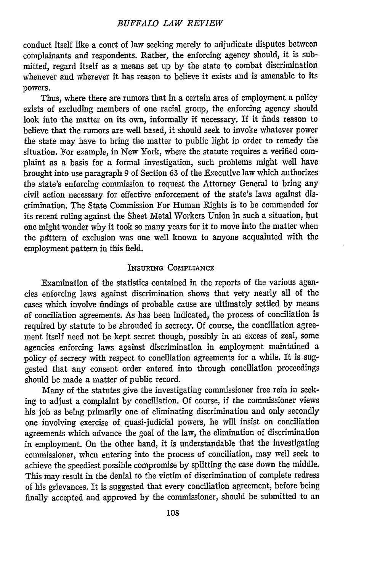conduct itself like a court of law seeking merely to adjudicate disputes between complainants and respondents. Rather, the enforcing agency should, it is submitted, regard itself as a means set up by the state to combat discrimination whenever and wherever it has reason to believe it exists and is amenable to its powers.

Thus, where there are rumors that in a certain area of employment a policy exists of excluding members of one racial group, the enforcing agency should look into the matter on its own, informally if necessary. If it finds reason to believe that the rumors are well based, it should seek to invoke whatever power the state may have to bring the matter to public light in order to remedy the situation. For example, in New York, where the statute requires a verified complaint as a basis for a formal investigation, such problems might well have brought into use paragraph 9 of Section 63 of the Executive law which authorizes the state's enforcing commission to request the Attorney General to bring any civil action necessary for effective enforcement of the state's laws against discrimination. The State Commission For Human Rights is to be commended for its recent ruling against the Sheet Metal Workers Union in such a situation, but one might wonder why it took so many years for it to move into the matter when the pattern of exclusion was one well known to anyone acquainted with the employment pattern in this field.

#### INSURING COMPLIANCE

Examination of the statistics contained in the reports of the various agencies enforcing laws against discrimination shows that very nearly all of the cases which involve findings of probable cause are ultimately settled by means of conciliation agreements. As has been indicated, the process of conciliation is required by statute to be shrouded in secrecy. Of course, the conciliation agreement itself need not be kept secret though, possibly in an excess of zeal, some agencies enforcing laws against discrimination in employment maintained a policy of secrecy with respect to conciliation agreements for a while. It is suggested that any consent order entered into through conciliation proceedings should be made a matter of public record.

Many of the statutes give the investigating commissioner free rein in seeking to adjust a complaint by conciliation. Of course, if the commissioner views his job as being primarily one of eliminating discrimination and only secondly one involving exercise of quasi-judicial powers, he will insist on conciliation agreements which advance the goal of the law, the elimination of discrimination in employment. On the other hand, it is understandable that the investigating commissioner, when entering into the process of conciliation, may well seek to achieve the speediest possible compromise by splitting the case down the middle. This may result in the denial to the victim of discrimination of complete redress of his grievances. It is suggested that every conciliation agreement, before being finally accepted and approved by the commissioner, should be submitted to an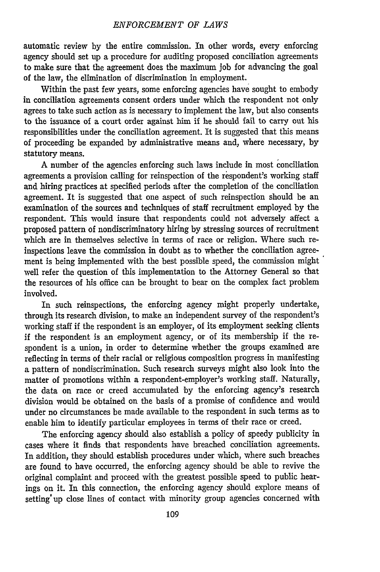automatic review by the entire commission. In other words, every enforcing agency should set up a procedure for auditing proposed conciliation agreements to make sure that the agreement does the maximum job for advancing the goal of the law, the elimination of discrimination in employment.

Within the past few years, some enforcing agencies have sought to embody in conciliation agreements consent orders under which the respondent not only agrees to take such action as is necessary to implement the law, but also consents to the issuance of a court order against him if he should fail to carry out his responsibilities under the conciliation agreement. It is suggested that this means of proceeding be expanded **by** administrative means and, where necessary, by statutory means.

A number of the agencies enforcing such laws include in most conciliation agreements a provision calling for reinspection of the respondent's working staff and hiring practices at specified periods after the completion of the conciliation agreement. It is suggested that one aspect of such reinspection should be an examination of the sources and techniques of staff recruitment employed **by** the respondent. This would insure that respondents could not adversely affect a proposed pattern of nondiscriminatory hiring **by** stressing sources of recruitment which are in themselves selective in terms of race or religion. Where such reinspections leave the commission in doubt as to whether the conciliation agreement is being implemented with the best possible speed, the commission might well refer the question of this implementation to the Attorney General so that the resources of his office can be brought to bear on the complex fact problem involved.

In such reinspections, the enforcing agency might properly undertake, through its research division, to make an independent survey of the respondent's working staff if the respondent is an employer, of its employment seeking clients if the respondent is an employment agency, or of its membership if the respondent is a union, in order to determine whether the groups examined are reflecting in terms of their racial or religious composition progress in manifesting a pattern of nondiscrimination. Such research surveys might also look into the matter of promotions within a respondent-employer's working staff. Naturally, the data on race or creed accumulated **by** the enforcing agency's research division would be obtained on the basis of a promise of confidence and would under no circumstances be made available to the respondent in such terms as to enable him to identify particular employees in terms of their race or creed.

The enforcing agency should also establish a policy of speedy publicity in cases where it finds that respondents have breached conciliation agreements. In addition, they should establish procedures under which, where such breaches are found to have occurred, the enforcing agency should be able to revive the original complaint and proceed with the greatest possible speed to public hearings on it. In this connection, the enforcing agency should explore means of setting'up close lines of contact with minority group agencies concerned with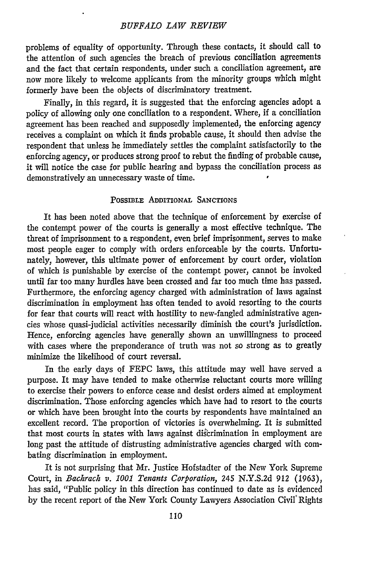problems of equality of opportunity. Through these contacts, it should call to the attention of such agencies the breach of previous conciliation agreements and the fact that certain respondents, under such a conciliation agreement, are now more likely to welcome applicants from the minority groups which might formerly have been the objects of discriminatory treatment.

Finally, in this regard, it is suggested that the enforcing agencies adopt a policy of allowing only one conciliation to a respondent. Where, if a conciliation agreement has been reached and supposedly implemented, the enforcing agency receives a complaint on which it finds probable cause, it should then advise the respondent that unless he immediately settles the complaint satisfactorily to the enforcing agency, or produces strong proof to rebut the finding of probable cause, it will notice the case for public hearing and bypass the conciliation process as demonstratively an unnecessary waste of time.

#### PossIBLE ADDITIONAL **SANCTIONS**

It has been noted above that the technique of enforcement by exercise of the contempt power of the courts is generally a most effective technique. The threat of imprisonment to a respondent, even brief imprisonment, serves to make most people eager to comply with orders enforceable by the courts. Unfortunately, however, this ultimate power of enforcement by court order, violation of which is punishable by exercise of the contempt power, cannot be invoked until far too many hurdles have been crossed and far too much time has passed. Furthermore, the enforcing agency charged with administration of laws against discrimination in employment has often tended to avoid resorting to the courts for fear that courts will react with hostility to new-fangled administrative agencies whose quasi-judicial activities necessarily diminish the court's jurisdiction. Hence, enforcing agencies have generally shown an unwillingness to proceed with cases where the preponderance of truth was not so strong as to greatly minimize the likelihood of court reversal.

In the early days of FEPC laws, this attitude may well have served a purpose. It may have tended to make otherwise reluctant courts more willing to exercise their powers to enforce cease and desist orders aimed at employment discrimination. Those enforcing agencies which have had to resort to the courts or which have been brought into the courts by respondents have maintained an excellent record. The proportion of victories is overwhelming. It is submitted that most courts in states with laws against discrimination in employment are long past the attitude of distrusting administrative agencies charged with combating discrimination in employment.

It is not surprising that Mr. Justice Hofstadter of the New York Supreme Court, in *Backrach v. 1001 Tenants Corporation,* 245 N.Y.S.2d **912** (1963), has said, "Public policy in this direction has continued to date as is evidenced by the recent report of the New York County Lawyers Association Civil Rights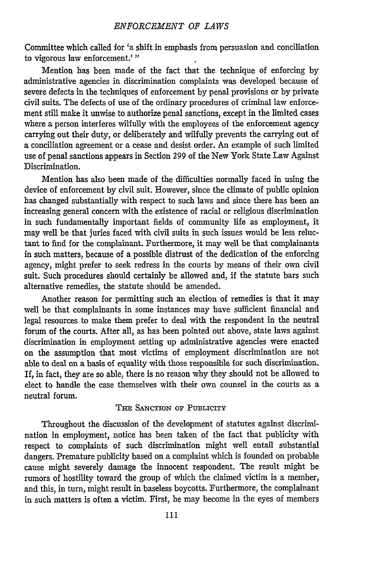Committee which called for 'a shift in emphasis from persuasion and conciliation to vigorous law enforcement.'"

Mention has been made of the fact that the technique of enforcing by administrative agencies in discrimination complaints was developed -because of severe defects in the techniques of enforcement by penal provisions or by private civil suits. The defects of use of the ordinary procedures of criminal law enforcement still make it unwise to authorize penal sanctions, except in the limited cases where a person interferes wilfully with the employees of the enforcement agency carrying out their duty, or deliberately and wilfully prevents the carrying out of a conciliation agreement or a cease and desist order. An example of such limited use of penal sanctions appears in Section 299 of the New York State Law Against Discrimination.

Mention has also been made of the difficulties normally faced in using the device of enforcement by civil suit. However, since the climate of public opinion has changed substantially with respect to such laws and since there has been an increasing general concern with the existence of racial or religious discrimination in such fundamentally important fields of community life as employment, it may well be that juries faced with civil suits in such issues would be less reluctant to find for the complainant. Furthermore, it may well be that complainants in such matters, because of a possible distrust of the dedication of the enforcing agency, might prefer to seek redress in the courts by means of their own civil suit. Such procedures should certainly be allowed and, if the statute bars such alternative remedies, the statute should be amended.

Another reason for permitting such an election of remedies is that it may well be that complainants in some instances may have sufficient financial and legal resources to make them prefer to deal with the respondent in the neutral forum of the courts. After all, as has been pointed out above, state laws against discrimination in employment setting up administrative agencies were enacted on the assumption that most victims of employment discrimination are not able to deal on a basis of equality with those responsible for such discrimination. If, in fact, they are so able, there is no reason why they should not be allowed to elect to handle the case themselves with their own counsel in the courts as a neutral forum.

#### THE **SANCTION** OF PUBLICITY

Throughout the discussion of the development of statutes against discrimination in employment, notice has been taken of the fact that publicity with respect to complaints of such discrimination might well entail substantial dangers. Premature publicity based on a complaint which is founded on probable cause might severely damage the innocent respondent. The result might be rumors of hostility toward the group of which the claimed victim is a member, and this, in turn, might result in baseless boycotts. Furthermore, the complainant in such matters is often a victim. First, he may become in the eyes of members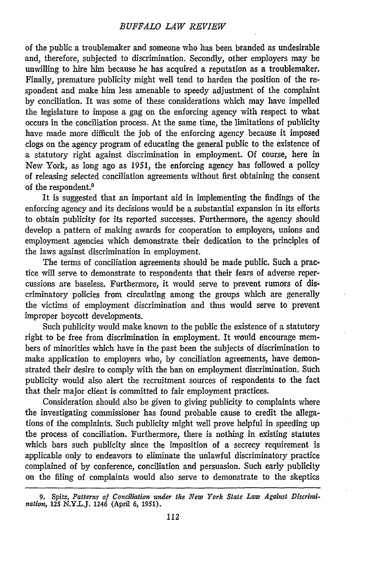of the public a troublemaker and someone who has been branded as undesirable and, therefore, subjected to discrimination. Secondly, other employers may be unwilling to hire him because he has acquired a reputation as a troublemaker. Finally, premature publicity might well tend to harden the position of the respondent and make him less amenable to speedy adjustment of the complaint by conciliation. It was some of these considerations which may have impelled the legislature to impose a gag on the enforcing agency with respect to what occurs in the conciliation process. At the same time, the limitations of publicity have made more difficult the job of the enforcing agency because it imposed clogs on the agency program of educating the general public to the existence of a statutory right against discrimination in employment. Of course, here in New York, as long ago as 1951, the enforcing agency has followed a policy of releasing selected conciliation agreements without first obtaining the consent of the respondent.<sup>9</sup>

It is suggested that an important aid in implementing the findings of the enforcing agency and its decisions would be a substantial expansion in its efforts to obtain publicity for its reported successes. Furthermore, the agency should develop a pattern of making awards for cooperation to employers, unions and employment agencies which demonstrate their dedication to the principles of the laws against discrimination in employment.

The terms of conciliation agreements should be made public. Such a practice will serve to demonstrate to respondents that their fears of adverse repercussions are baseless. Furthermore, it would serve to prevent rumors of discriminatory policies from circulating among the groups which are generally the victims of employment discrimination and thus would serve to prevent improper boycott developments.

Such publicity would make known to the public the existence of a statutory right to be free from discrimination in employment. It would encourage members of minorities which have in the past been the subjects of discrimination to make application to employers who, by conciliation agreements, have demonstrated their desire to comply with the ban on employment discrimination. Such publicity would also alert the recruitment sources of respondents to the fact that their major client is committed to fair employment practices.

Consideration should also be given to giving publicity to complaints where the investigating commissioner has found probable cause to credit the allegations of the complaints. Such publicity might well prove helpful in speeding up the process of conciliation. Furthermore, there is nothing in existing statutes which bars such publicity since the imposition of a secrecy requirement is applicable only to endeavors to eliminate the unlawful discriminatory practice complained of by conference, conciliation and persuasion. Such early publicity on the filing of complaints would also serve to demonstrate to the skeptics

<sup>9.</sup> Spitz, Patterns of Conciliation under the New York State Law Against Discrimi*nation,* **125** N.Y.L.J. 1246 (April **6, 1951).**